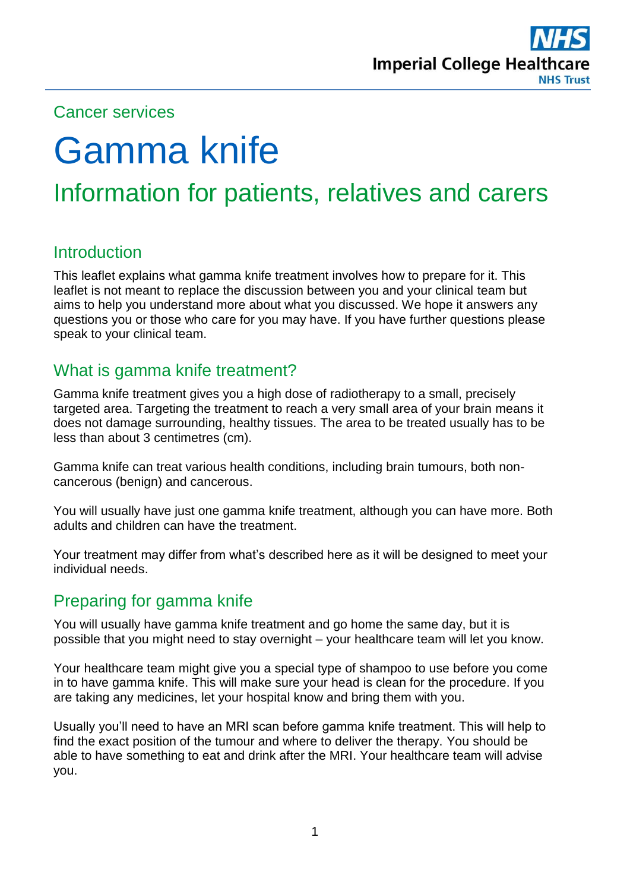

# Cancer services

# Gamma knife

# Information for patients, relatives and carers

# **Introduction**

This leaflet explains what gamma knife treatment involves how to prepare for it. This leaflet is not meant to replace the discussion between you and your clinical team but aims to help you understand more about what you discussed. We hope it answers any questions you or those who care for you may have. If you have further questions please speak to your clinical team.

# What is gamma knife treatment?

Gamma knife treatment gives you a high dose of radiotherapy to a small, precisely targeted area. Targeting the treatment to reach a very small area of your brain means it does not damage surrounding, healthy tissues. The area to be treated usually has to be less than about 3 centimetres (cm).

Gamma knife can treat various health conditions, including brain tumours, both noncancerous (benign) and cancerous.

You will usually have just one gamma knife treatment, although you can have more. Both adults and children can have the treatment.

Your treatment may differ from what's described here as it will be designed to meet your individual needs.

# Preparing for gamma knife

You will usually have gamma knife treatment and go home the same day, but it is possible that you might need to stay overnight – your healthcare team will let you know.

Your healthcare team might give you a special type of shampoo to use before you come in to have gamma knife. This will make sure your head is clean for the procedure. If you are taking any medicines, let your hospital know and bring them with you.

Usually you'll need to have an MRI scan before gamma knife treatment. This will help to find the exact position of the tumour and where to deliver the therapy. You should be able to have something to eat and drink after the MRI. Your healthcare team will advise you.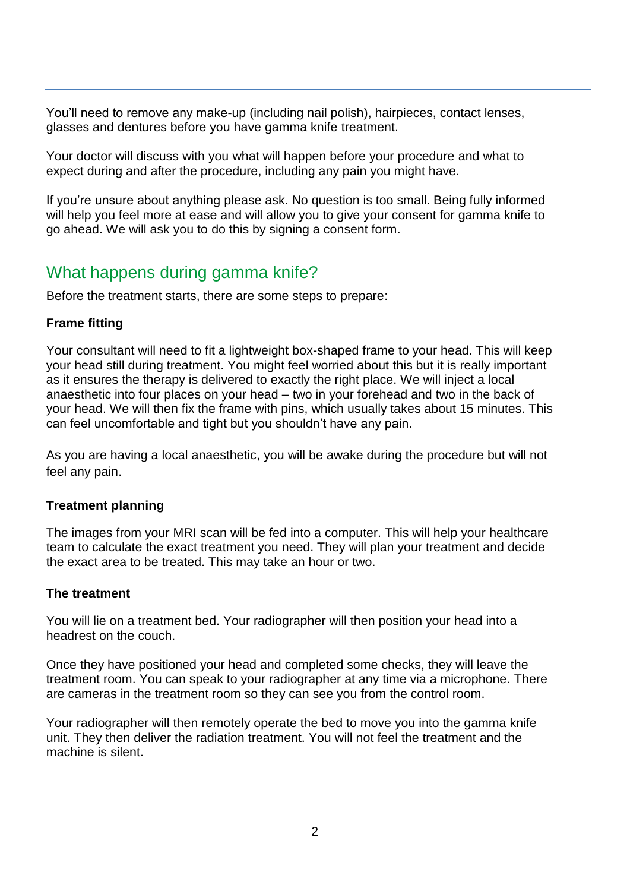You'll need to remove any make-up (including nail polish), hairpieces, contact lenses, glasses and dentures before you have gamma knife treatment.

Your doctor will discuss with you what will happen before your procedure and what to expect during and after the procedure, including any pain you might have.

If you're unsure about anything please ask. No question is too small. Being fully informed will help you feel more at ease and will allow you to give your consent for gamma knife to go ahead. We will ask you to do this by signing a consent form.

# What happens during gamma knife?

Before the treatment starts, there are some steps to prepare:

#### **Frame fitting**

Your consultant will need to fit a lightweight box-shaped frame to your head. This will keep your head still during treatment. You might feel worried about this but it is really important as it ensures the therapy is delivered to exactly the right place. We will inject a local anaesthetic into four places on your head – two in your forehead and two in the back of your head. We will then fix the frame with pins, which usually takes about 15 minutes. This can feel uncomfortable and tight but you shouldn't have any pain.

As you are having a local anaesthetic, you will be awake during the procedure but will not feel any pain.

#### **Treatment planning**

The images from your MRI scan will be fed into a computer. This will help your healthcare team to calculate the exact treatment you need. They will plan your treatment and decide the exact area to be treated. This may take an hour or two.

#### **The treatment**

You will lie on a treatment bed. Your radiographer will then position your head into a headrest on the couch.

Once they have positioned your head and completed some checks, they will leave the treatment room. You can speak to your radiographer at any time via a microphone. There are cameras in the treatment room so they can see you from the control room.

Your radiographer will then remotely operate the bed to move you into the gamma knife unit. They then deliver the radiation treatment. You will not feel the treatment and the machine is silent.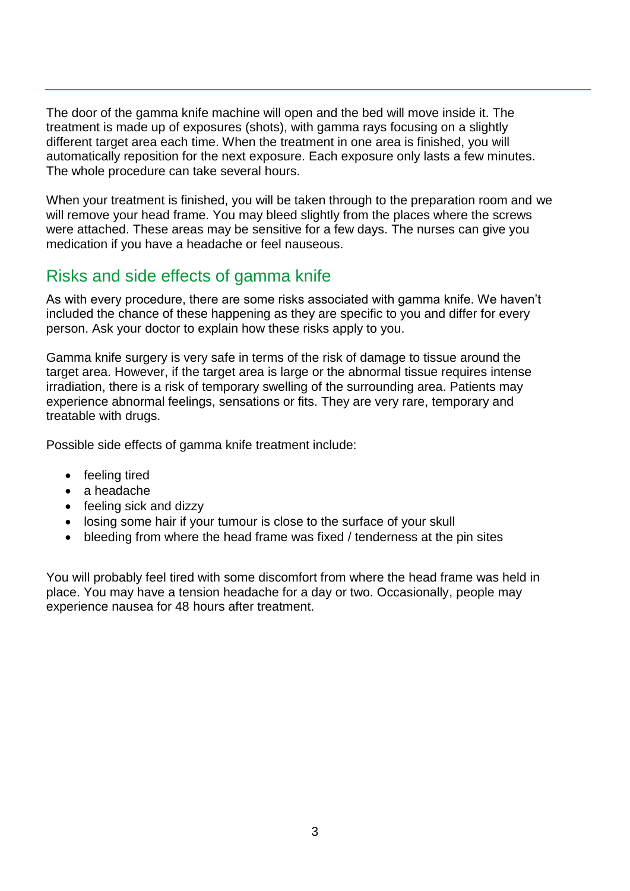The door of the gamma knife machine will open and the bed will move inside it. The treatment is made up of exposures (shots), with gamma rays focusing on a slightly different target area each time. When the treatment in one area is finished, you will automatically reposition for the next exposure. Each exposure only lasts a few minutes. The whole procedure can take several hours.

When your treatment is finished, you will be taken through to the preparation room and we will remove your head frame. You may bleed slightly from the places where the screws were attached. These areas may be sensitive for a few days. The nurses can give you medication if you have a headache or feel nauseous.

# Risks and side effects of gamma knife

As with every procedure, there are some risks associated with gamma knife. We haven't included the chance of these happening as they are specific to you and differ for every person. Ask your doctor to explain how these risks apply to you.

Gamma knife surgery is very safe in terms of the risk of damage to tissue around the target area. However, if the target area is large or the abnormal tissue requires intense irradiation, there is a risk of temporary swelling of the surrounding area. Patients may experience abnormal feelings, sensations or fits. They are very rare, temporary and treatable with drugs.

Possible side effects of gamma knife treatment include:

- feeling tired
- a headache
- feeling sick and dizzy
- losing some hair if your tumour is close to the surface of your skull
- bleeding from where the head frame was fixed / tenderness at the pin sites

You will probably feel tired with some discomfort from where the head frame was held in place. You may have a tension headache for a day or two. Occasionally, people may experience nausea for 48 hours after treatment.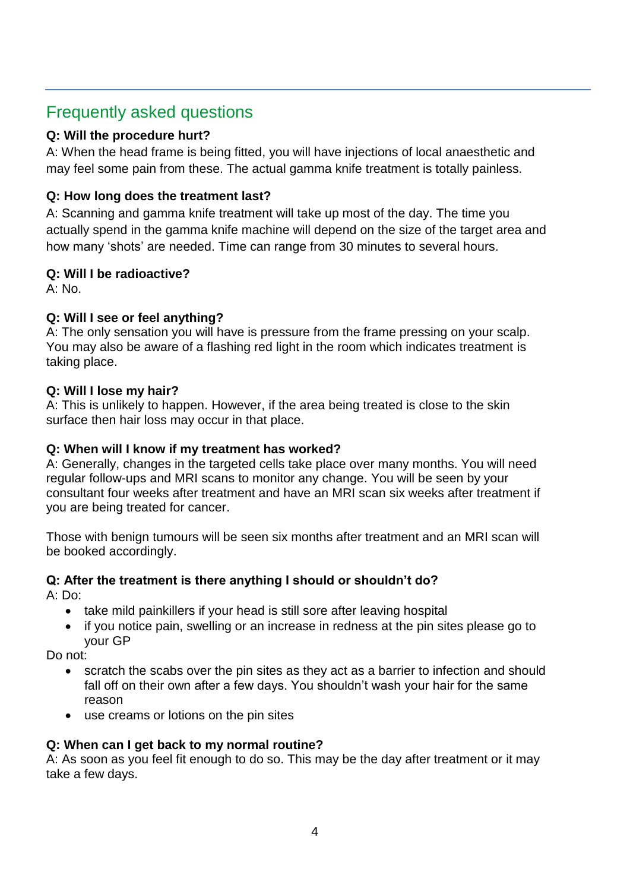# Frequently asked questions

#### **Q: Will the procedure hurt?**

A: When the head frame is being fitted, you will have injections of local anaesthetic and may feel some pain from these. The actual gamma knife treatment is totally painless.

#### **Q: How long does the treatment last?**

A: Scanning and gamma knife treatment will take up most of the day. The time you actually spend in the gamma knife machine will depend on the size of the target area and how many 'shots' are needed. Time can range from 30 minutes to several hours.

#### **Q: Will I be radioactive?**

A: No.

#### **Q: Will I see or feel anything?**

A: The only sensation you will have is pressure from the frame pressing on your scalp. You may also be aware of a flashing red light in the room which indicates treatment is taking place.

#### **Q: Will I lose my hair?**

A: This is unlikely to happen. However, if the area being treated is close to the skin surface then hair loss may occur in that place.

#### **Q: When will I know if my treatment has worked?**

A: Generally, changes in the targeted cells take place over many months. You will need regular follow-ups and MRI scans to monitor any change. You will be seen by your consultant four weeks after treatment and have an MRI scan six weeks after treatment if you are being treated for cancer.

Those with benign tumours will be seen six months after treatment and an MRI scan will be booked accordingly.

#### **Q: After the treatment is there anything I should or shouldn't do?**

A: Do:

- take mild painkillers if your head is still sore after leaving hospital
- if you notice pain, swelling or an increase in redness at the pin sites please go to your GP

Do not:

- scratch the scabs over the pin sites as they act as a barrier to infection and should fall off on their own after a few days. You shouldn't wash your hair for the same reason
- use creams or lotions on the pin sites

#### **Q: When can I get back to my normal routine?**

A: As soon as you feel fit enough to do so. This may be the day after treatment or it may take a few days.